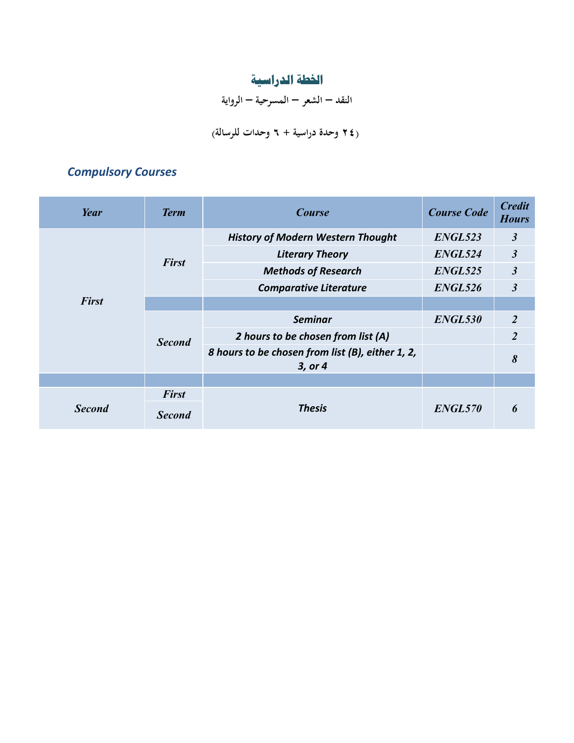# **اخلطة الدراسية**

**النقد – الشعر – المسرحية – الرواية**

## **)24 وحدة دراسية + 6 وحدات للرسالة(**

## *Compulsory Courses*

| Year          | <b>Term</b>                   | <b>Course</b>                                               | <b>Course Code</b> | <b>Credit</b><br><b>Hours</b> |
|---------------|-------------------------------|-------------------------------------------------------------|--------------------|-------------------------------|
|               | <b>First</b>                  | <b>History of Modern Western Thought</b>                    | ENGL523            | $\mathfrak{z}$                |
|               |                               | <b>Literary Theory</b>                                      | ENGL524            | $\mathfrak{z}$                |
|               |                               | <b>Methods of Research</b>                                  | ENGL525            | $\mathfrak{Z}$                |
|               |                               | <b>Comparative Literature</b>                               | ENGL526            | $\mathfrak{Z}$                |
| <b>First</b>  |                               |                                                             |                    |                               |
|               | <b>Second</b>                 | <b>Seminar</b>                                              | ENGL530            | 2                             |
|               |                               | 2 hours to be chosen from list (A)                          |                    | $\overline{2}$                |
|               |                               | 8 hours to be chosen from list (B), either 1, 2,<br>3, or 4 |                    | 8                             |
|               |                               |                                                             |                    |                               |
| <b>Second</b> | <b>First</b><br><b>Second</b> | <b>Thesis</b>                                               | ENGL570            | h                             |